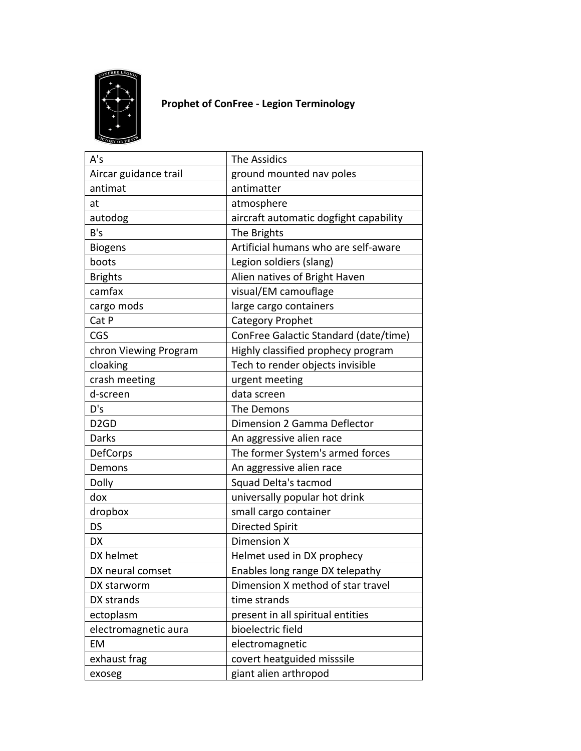

## **Prophet of ConFree - Legion Terminology**

| A's                           | The Assidics                           |
|-------------------------------|----------------------------------------|
| Aircar guidance trail         | ground mounted nav poles               |
| antimat                       | antimatter                             |
| at                            | atmosphere                             |
| autodog                       | aircraft automatic dogfight capability |
| B's                           | The Brights                            |
| <b>Biogens</b>                | Artificial humans who are self-aware   |
| boots                         | Legion soldiers (slang)                |
| <b>Brights</b>                | Alien natives of Bright Haven          |
| camfax                        | visual/EM camouflage                   |
| cargo mods                    | large cargo containers                 |
| Cat P                         | <b>Category Prophet</b>                |
| CGS                           | ConFree Galactic Standard (date/time)  |
| chron Viewing Program         | Highly classified prophecy program     |
| cloaking                      | Tech to render objects invisible       |
| crash meeting                 | urgent meeting                         |
| d-screen                      | data screen                            |
| D's                           | The Demons                             |
| D <sub>2</sub> G <sub>D</sub> | Dimension 2 Gamma Deflector            |
| Darks                         | An aggressive alien race               |
| DefCorps                      | The former System's armed forces       |
| Demons                        | An aggressive alien race               |
| Dolly                         | Squad Delta's tacmod                   |
| dox                           | universally popular hot drink          |
| dropbox                       | small cargo container                  |
| DS                            | <b>Directed Spirit</b>                 |
| <b>DX</b>                     | Dimension X                            |
| DX helmet                     | Helmet used in DX prophecy             |
| DX neural comset              | Enables long range DX telepathy        |
| DX starworm                   | Dimension X method of star travel      |
| DX strands                    | time strands                           |
| ectoplasm                     | present in all spiritual entities      |
| electromagnetic aura          | bioelectric field                      |
| EM                            | electromagnetic                        |
| exhaust frag                  | covert heatguided misssile             |
| exoseg                        | giant alien arthropod                  |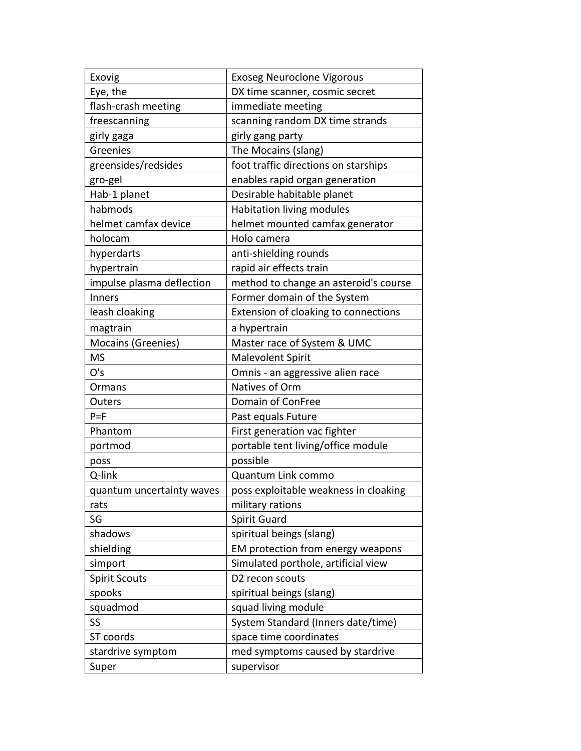| Exovig                    | <b>Exoseg Neuroclone Vigorous</b>     |
|---------------------------|---------------------------------------|
| Eye, the                  | DX time scanner, cosmic secret        |
| flash-crash meeting       | immediate meeting                     |
| freescanning              | scanning random DX time strands       |
| girly gaga                | girly gang party                      |
| Greenies                  | The Mocains (slang)                   |
| greensides/redsides       | foot traffic directions on starships  |
| gro-gel                   | enables rapid organ generation        |
| Hab-1 planet              | Desirable habitable planet            |
| habmods                   | <b>Habitation living modules</b>      |
| helmet camfax device      | helmet mounted camfax generator       |
| holocam                   | Holo camera                           |
| hyperdarts                | anti-shielding rounds                 |
| hypertrain                | rapid air effects train               |
| impulse plasma deflection | method to change an asteroid's course |
| Inners                    | Former domain of the System           |
| leash cloaking            | Extension of cloaking to connections  |
| magtrain                  | a hypertrain                          |
| Mocains (Greenies)        | Master race of System & UMC           |
| <b>MS</b>                 | <b>Malevolent Spirit</b>              |
| O's                       | Omnis - an aggressive alien race      |
| Ormans                    | Natives of Orm                        |
| Outers                    | Domain of ConFree                     |
| $P = F$                   | Past equals Future                    |
| Phantom                   | First generation vac fighter          |
| portmod                   | portable tent living/office module    |
| poss                      | possible                              |
| Q-link                    | Quantum Link commo                    |
| quantum uncertainty waves | poss exploitable weakness in cloaking |
| rats                      | military rations                      |
| SG                        | <b>Spirit Guard</b>                   |
| shadows                   | spiritual beings (slang)              |
| shielding                 | EM protection from energy weapons     |
| simport                   | Simulated porthole, artificial view   |
| <b>Spirit Scouts</b>      | D2 recon scouts                       |
| spooks                    | spiritual beings (slang)              |
| squadmod                  | squad living module                   |
| SS                        | System Standard (Inners date/time)    |
| ST coords                 | space time coordinates                |
| stardrive symptom         | med symptoms caused by stardrive      |
| Super                     | supervisor                            |